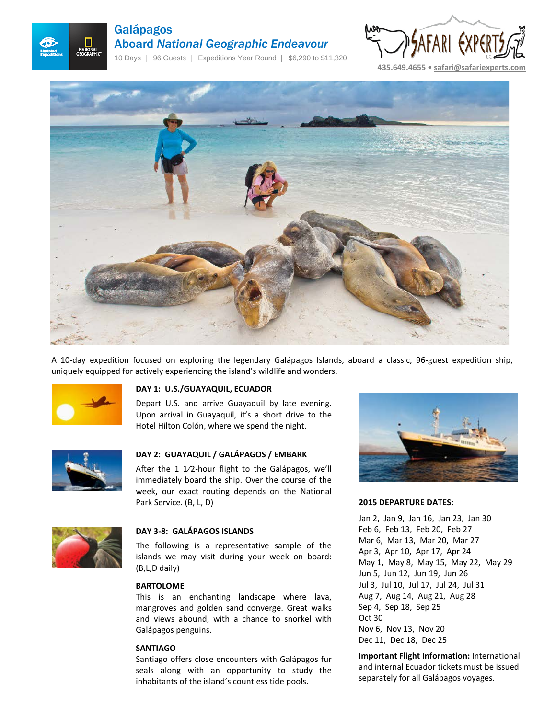

# Galápagos Aboard *National Geographic Endeavour*

10 Days | 96 Guests | Expeditions Year Round | \$6,290 to \$11,320





A 10-day expedition focused on exploring the legendary Galápagos Islands, aboard a classic, 96-guest expedition ship, uniquely equipped for actively experiencing the island's wildlife and wonders.



# **DAY 1: U.S./GUAYAQUIL, ECUADOR**

Depart U.S. and arrive Guayaquil by late evening. Upon arrival in Guayaquil, it's a short drive to the Hotel Hilton Colón, where we spend the night.



# **DAY 2: GUAYAQUIL / GALÁPAGOS / EMBARK**

After the 1 1/2-hour flight to the Galápagos, we'll immediately board the ship. Over the course of the week, our exact routing depends on the National Park Service. (B, L, D)



# **DAY 3-8: GALÁPAGOS ISLANDS**

The following is a representative sample of the islands we may visit during your week on board: (B,L,D daily)

#### **BARTOLOME**

This is an enchanting landscape where lava, mangroves and golden sand converge. Great walks and views abound, with a chance to snorkel with Galápagos penguins.

#### **SANTIAGO**

Santiago offers close encounters with Galápagos fur seals along with an opportunity to study the inhabitants of the island's countless tide pools.



#### **2015 DEPARTURE DATES:**

Jan 2, Jan 9, Jan 16, Jan 23, Jan 30 Feb 6, Feb 13, Feb 20, Feb 27 Mar 6, Mar 13, Mar 20, Mar 27 Apr 3, Apr 10, Apr 17, Apr 24 May 1, May 8, May 15, May 22, May 29 Jun 5, Jun 12, Jun 19, Jun 26 Jul 3, Jul 10, Jul 17, Jul 24, Jul 31 Aug 7, Aug 14, Aug 21, Aug 28 Sep 4, Sep 18, Sep 25 Oct 30 Nov 6, Nov 13, Nov 20 Dec 11, Dec 18, Dec 25

**Important Flight Information:** International and internal Ecuador tickets must be issued separately for all Galápagos voyages.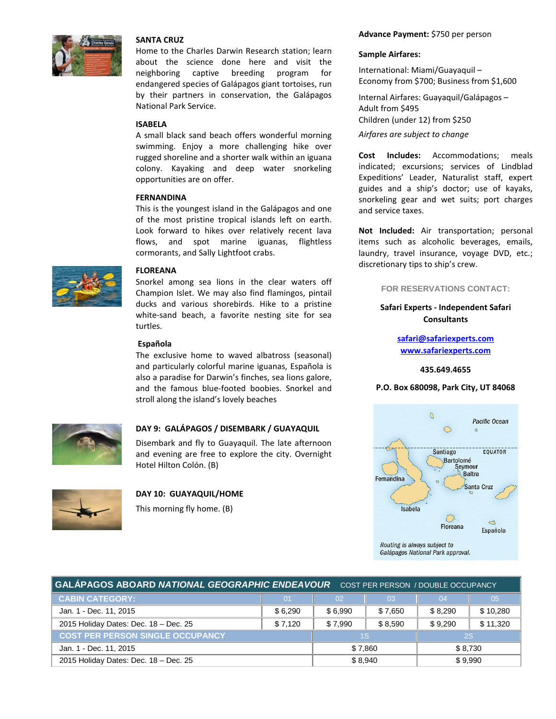

## **SANTA CRUZ**

Home to the Charles Darwin Research station; learn about the science done here and visit the neighboring captive breeding program for endangered species of Galápagos giant tortoises, run by their partners in conservation, the Galápagos National Park Service.

#### **ISABELA**

A small black sand beach offers wonderful morning swimming. Enjoy a more challenging hike over rugged shoreline and a shorter walk within an iguana colony. Kayaking and deep water snorkeling opportunities are on offer.

#### **FERNANDINA**

This is the youngest island in the Galápagos and one of the most pristine tropical islands left on earth. Look forward to hikes over relatively recent lava flows, and spot marine iguanas, flightless cormorants, and Sally Lightfoot crabs.



#### **FLOREANA**

Snorkel among sea lions in the clear waters off Champion Islet. We may also find flamingos, pintail ducks and various shorebirds. Hike to a pristine white-sand beach, a favorite nesting site for sea turtles.

#### **Española**

The exclusive home to waved albatross (seasonal) and particularly colorful marine iguanas, Española is also a paradise for Darwin's finches, sea lions galore, and the famous blue-footed boobies. Snorkel and stroll along the island's lovely beaches



# **DAY 9: GALÁPAGOS / DISEMBARK / GUAYAQUIL**

Disembark and fly to Guayaquil. The late afternoon and evening are free to explore the city. Overnight Hotel Hilton Colón. (B)



# **DAY 10: GUAYAQUIL/HOME**

This morning fly home. (B)

#### **Advance Payment:** \$750 per person

#### **Sample Airfares:**

International: Miami/Guayaquil – Economy from \$700; Business from \$1,600

Internal Airfares: Guayaquil/Galápagos – Adult from \$495 Children (under 12) from \$250 *Airfares are subject to change*

**Cost Includes:** Accommodations; meals indicated; excursions; services of Lindblad Expeditions' Leader, Naturalist staff, expert guides and a ship's doctor; use of kayaks, snorkeling gear and wet suits; port charges and service taxes.

**Not Included:** Air transportation; personal items such as alcoholic beverages, emails, laundry, travel insurance, voyage DVD, etc.; discretionary tips to ship's crew.

#### **FOR RESERVATIONS CONTACT:**

# **Safari Experts - Independent Safari Consultants**

**[safari@safariexperts.com](mailto:safari@safariexperts.com)  [www.safariexperts.com](http://www.safariexperts.com/)**

## **435.649.4655**

#### **P.O. Box 680098, Park City, UT 84068**



| GALÁPAGOS ABOARD NATIONAL GEOGRAPHIC ENDEAVOUR  COST PER PERSON / DOUBLE OCCUPANCY |         |         |         |           |          |
|------------------------------------------------------------------------------------|---------|---------|---------|-----------|----------|
| <b>CABIN CATEGORY:</b>                                                             | 01      | 02      | 03      | 04        | 05       |
| Jan. 1 - Dec. 11, 2015                                                             | \$6.290 | \$6.990 | \$7,650 | \$8.290   | \$10,280 |
| 2015 Holiday Dates: Dec. 18 - Dec. 25                                              | \$7,120 | \$7.990 | \$8.590 | \$9.290   | \$11,320 |
| <b>COST PER PERSON SINGLE OCCUPANCY</b>                                            |         | 1S      |         | <b>2S</b> |          |
| Jan. 1 - Dec. 11, 2015                                                             |         | \$7.860 |         | \$8.730   |          |
| 2015 Holiday Dates: Dec. 18 - Dec. 25                                              |         | \$8.940 |         | \$9.990   |          |